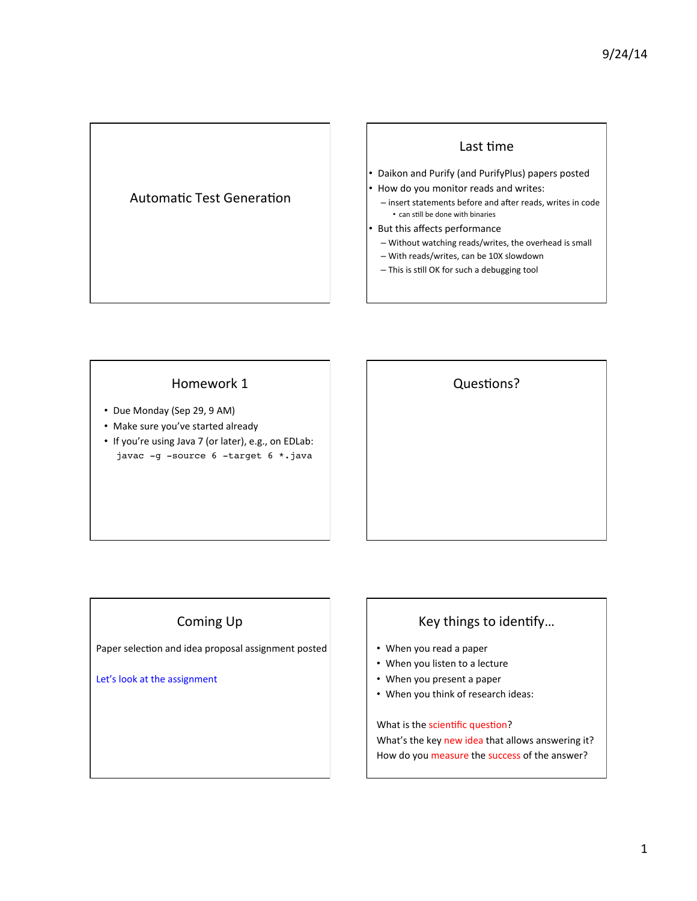## Automatic Test Generation

#### Last time

- Daikon and Purify (and PurifyPlus) papers posted
- How do you monitor reads and writes:
- insert statements before and after reads, writes in code • can still be done with binaries
- But this affects performance
	- Without watching reads/writes, the overhead is small
	- With reads/writes, can be 10X slowdown
	- This is still OK for such a debugging tool

### Homework 1

- Due Monday (Sep 29, 9 AM)
- Make sure you've started already
- If you're using Java 7 (or later), e.g., on EDLab: javac -g -source 6 -target 6 \*.java

**Questions?** 

# Coming Up

Paper selection and idea proposal assignment posted

Let's look at the assignment

# Key things to identify...

- When you read a paper
- When you listen to a lecture
- When you present a paper
- When you think of research ideas:

What is the scientific question? What's the key new idea that allows answering it? How do you measure the success of the answer?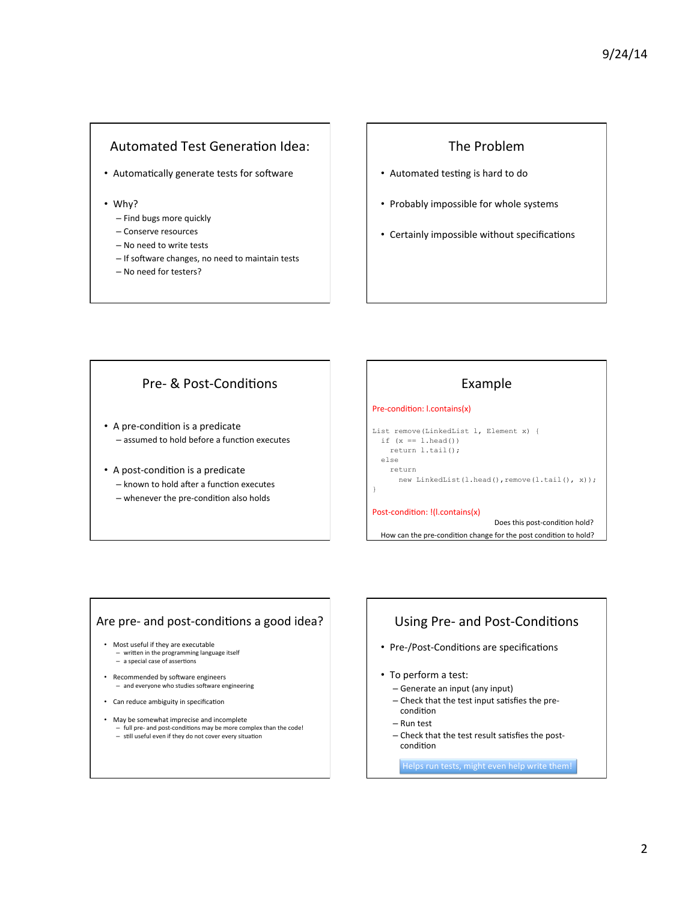# Automated Test Generation Idea:

- Automatically generate tests for software
- Why?
	- Find bugs more quickly
	- Conserve resources
	- No need to write tests
	- If software changes, no need to maintain tests
	- No need for testers?

# The Problem

- Automated testing is hard to do
- Probably impossible for whole systems
- Certainly impossible without specifications

# Pre- & Post-Conditions

- A pre-condition is a predicate - assumed to hold before a function executes
- A post-condition is a predicate – known to hold after a function executes  $-$  whenever the pre-condition also holds

# Example

#### Pre-condition: l.contains(x)

```
List remove(LinkedList l, Element x) { 
  if (x == 1.\text{head}()) return l.tail(); 
   else
```
return

}

```
new LinkedList(l.head(),remove(l.tail(), x));
```
How can the pre-condition change for the post condition to hold?

Post-condition: !(I.contains(x)

Does this post-condition hold?

# Are pre- and post-conditions a good idea?

- Most useful if they are executable - written in the programming language itself<br>- a special case of assertions
- Recommended by software engineers<br>
 and everyone who studies software engineering
- Can reduce ambiguity in specification
- May be somewhat imprecise and incomplete - full pre- and post-conditions may be more complex than the code!<br>- still useful even if they do not cover every situation

# Using Pre- and Post-Conditions

- Pre-/Post-Conditions are specifications
- To perform a test:
	- Generate an input (any input)
	- $-$  Check that the test input satisfies the precondition
	- Run test
	- Check that the test result satisfies the postcondition

Helps run tests, might even help write them!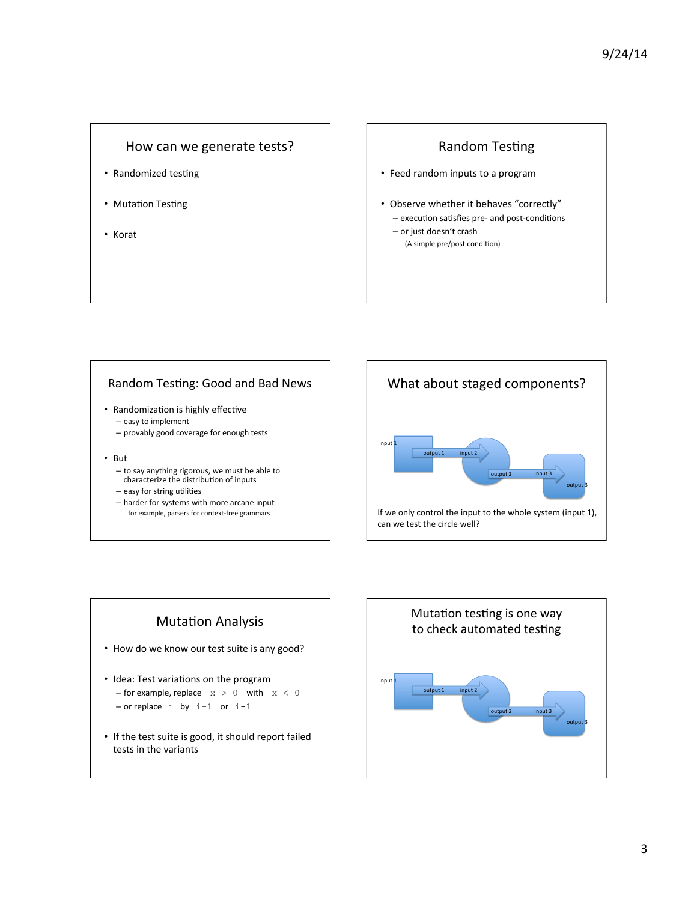### How can we generate tests?

- Randomized testing
- Mutation Testing
- Korat

## **Random Testing**

- Feed random inputs to a program
- Observe whether it behaves "correctly" - execution satisfies pre- and post-conditions
	- or just doesn't crash (A simple pre/post condition)

### Random Testing: Good and Bad News

- Randomization is highly effective – easy to implement
	- provably good coverage for enough tests
- But
	- to say anything rigorous, we must be able to characterize the distribution of inputs
	- $-$  easy for string utilities
	- harder for systems with more arcane input for example, parsers for context-free grammars





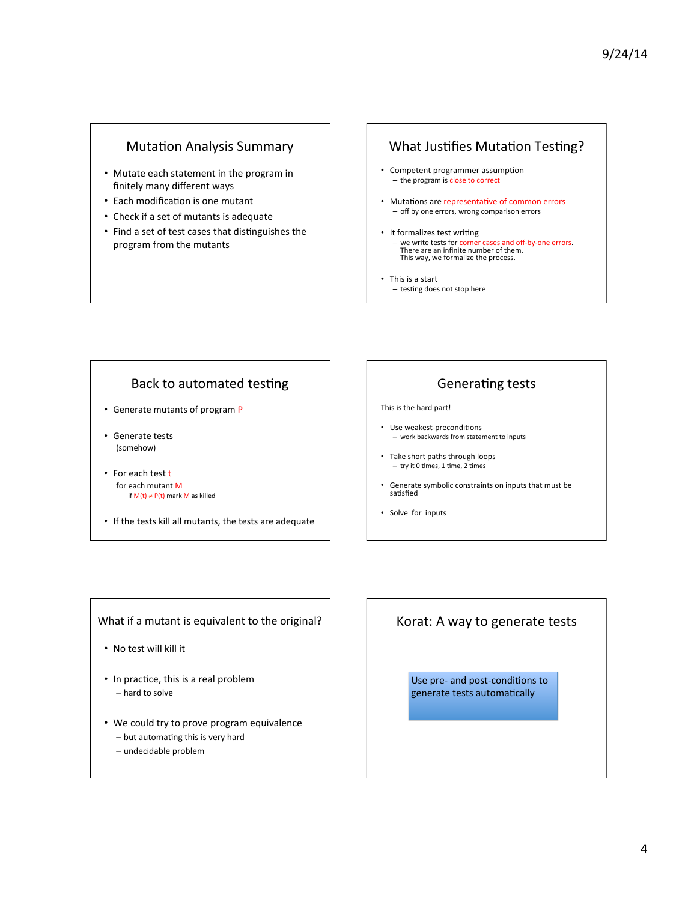# Mutation Analysis Summary

- Mutate each statement in the program in finitely many different ways
- Each modification is one mutant
- Check if a set of mutants is adequate
- Find a set of test cases that distinguishes the program from the mutants

# What Justifies Mutation Testing?

- Competent programmer assumption – the program is close to correct
- Mutations are representative of common errors - off by one errors, wrong comparison errors
- It formalizes test writing we write tests for corner cases and off-by-one errors.<br>There are an infinite number of them. This way, we formalize the process.
- This is a start  $-$  testing does not stop here

## Back to automated testing

- Generate mutants of program P
- Generate tests (somehow)
- For each test t for each mutant M if  $M(t) \neq P(t)$  mark M as killed
- If the tests kill all mutants, the tests are adequate

# Generating tests

#### This is the hard part!

- Use weakest-preconditions - work backwards from statement to inputs
- Take short paths through loops  $-$  try it 0 times, 1 time, 2 times
- Generate symbolic constraints on inputs that must be satisfied
- Solve for inputs

What if a mutant is equivalent to the original?

- No test will kill it
- In practice, this is a real problem  $-$  hard to solve
- We could try to prove program equivalence  $-$  but automating this is very hard
	- undecidable problem

# Korat: A way to generate tests

Use pre- and post-conditions to generate tests automatically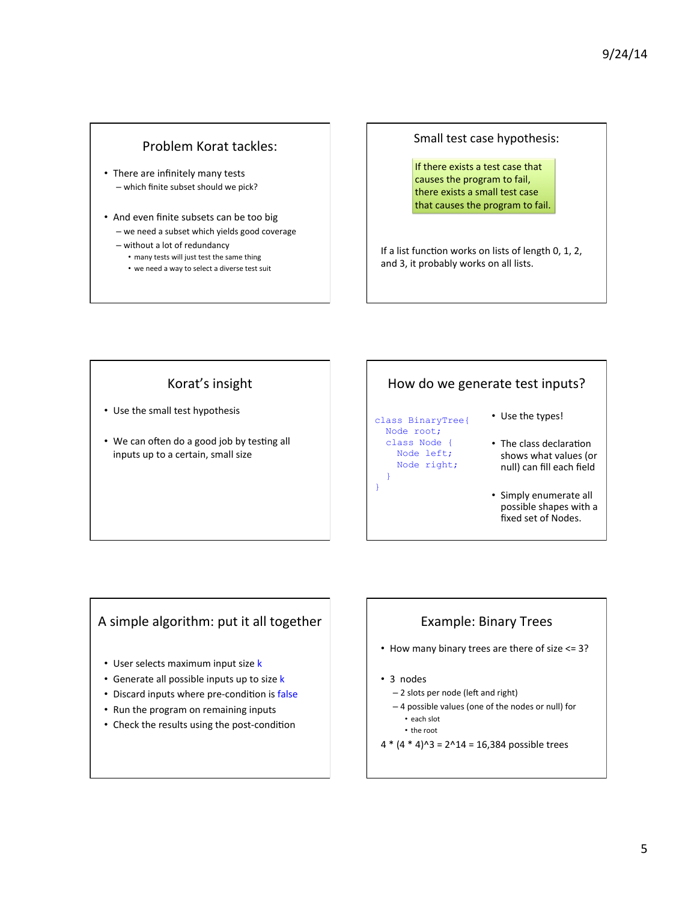# Problem Korat tackles:

- There are infinitely many tests – which finite subset should we pick?
- And even finite subsets can be too big
	- we need a subset which yields good coverage - without a lot of redundancy
		- many tests will just test the same thing
		- we need a way to select a diverse test suit

Small test case hypothesis:

If there exists a test case that causes the program to fail, there exists a small test case that causes the program to fail.

If a list function works on lists of length 0, 1, 2, and 3, it probably works on all lists.

# Korat's insight

- Use the small test hypothesis
- We can often do a good job by testing all inputs up to a certain, small size

# How do we generate test inputs?

class BinaryTree{ Node root; class Node { Node left; Node right;

 } }

- Use the types!
- The class declaration shows what values (or null) can fill each field
- Simply enumerate all possible shapes with a fixed set of Nodes.

# A simple algorithm: put it all together

- User selects maximum input size k
- Generate all possible inputs up to size k
- Discard inputs where pre-condition is false
- Run the program on remaining inputs
- Check the results using the post-condition

# Example: Binary Trees

- How many binary trees are there of size  $\leq$  = 3?
- 3 nodes
	- 2 slots per node (left and right)
	- 4 possible values (one of the nodes or null) for
	- each slot
	- the root
- $4 * (4 * 4)^3 = 2^14 = 16,384$  possible trees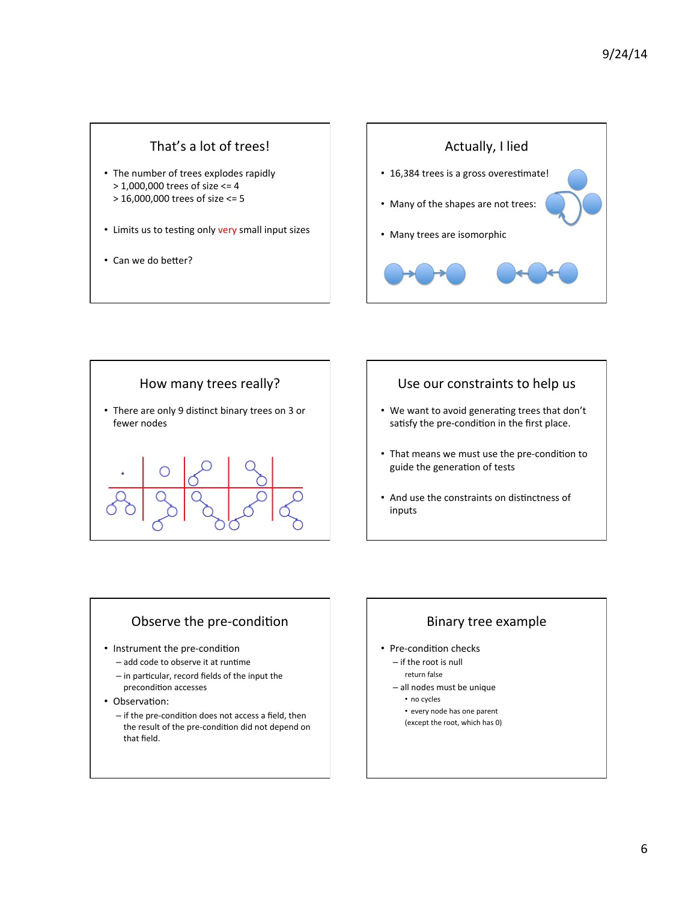# That's a lot of trees!

- The number of trees explodes rapidly  $>$  1,000,000 trees of size  $<=$  4  $> 16,000,000$  trees of size <= 5
- Limits us to testing only very small input sizes
- Can we do better?





### Use our constraints to help us

- We want to avoid generating trees that don't satisfy the pre-condition in the first place.
- That means we must use the pre-condition to guide the generation of tests
- And use the constraints on distinctness of inputs

### Observe the pre-condition

- Instrument the pre-condition
	- $-$  add code to observe it at runtime
	- $-$  in particular, record fields of the input the precondition accesses
- Observation:
	- $-$  if the pre-condition does not access a field, then the result of the pre-condition did not depend on that field.

## Binary tree example

- Pre-condition checks
	- $-$  if the root is null
		- return false
	- all nodes must be unique
		- no cycles
		- every node has one parent (except the root, which has 0)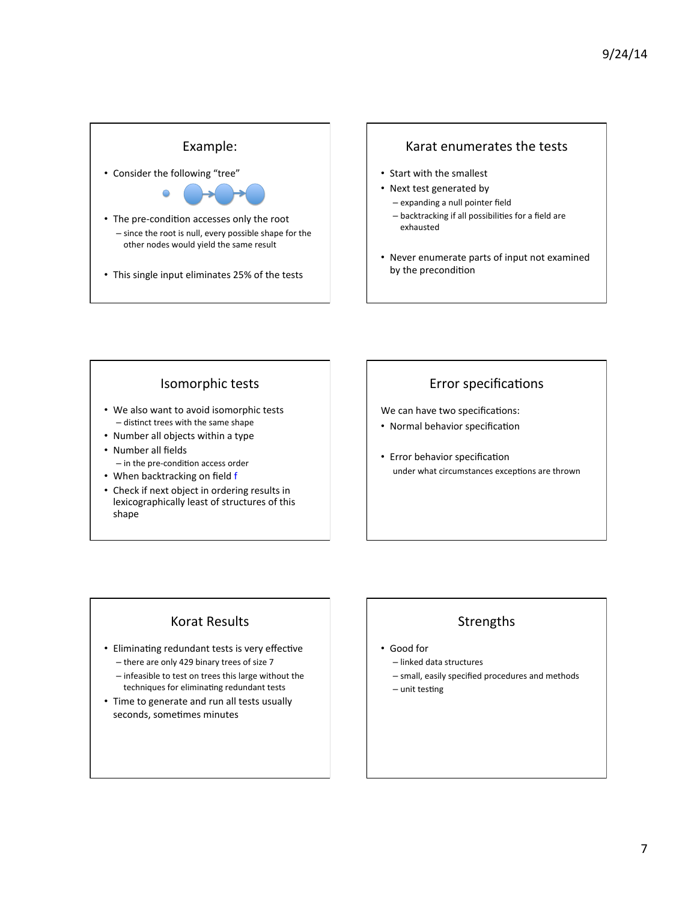### Example:

• Consider the following "tree"



- The pre-condition accesses only the root  $-$  since the root is null, every possible shape for the other nodes would yield the same result
- This single input eliminates 25% of the tests

### Karat enumerates the tests

- Start with the smallest
- Next test generated by
	- expanding a null pointer field
	- $-$  backtracking if all possibilities for a field are exhausted
- Never enumerate parts of input not examined by the precondition

### Isomorphic tests

- We also want to avoid isomorphic tests  $-$  distinct trees with the same shape
- Number all objects within a type
- Number all fields  $-$  in the pre-condition access order
- When backtracking on field f
- Check if next object in ordering results in
- lexicographically least of structures of this shape

# Error specifications

We can have two specifications:

- Normal behavior specification
- Error behavior specification under what circumstances exceptions are thrown

# Korat Results

- Eliminating redundant tests is very effective
	- there are only 429 binary trees of size 7
	- infeasible to test on trees this large without the techniques for eliminating redundant tests
- Time to generate and run all tests usually seconds, sometimes minutes

# Strengths

- Good for
	- linked data structures
	- small, easily specified procedures and methods
	- $-$  unit testing